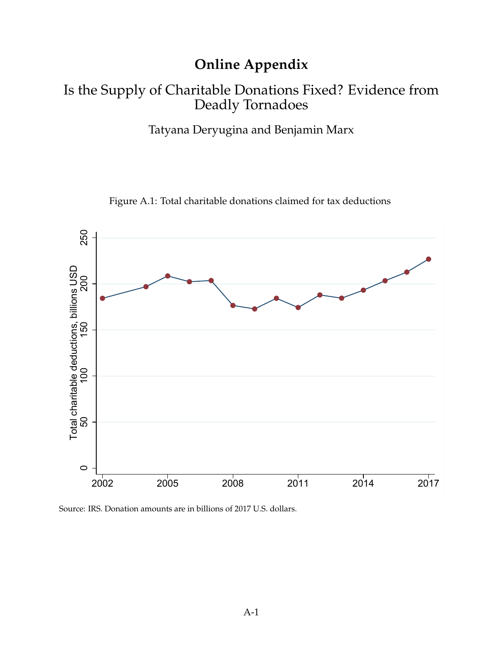# **Online Appendix**

## Is the Supply of Charitable Donations Fixed? Evidence from Deadly Tornadoes

Tatyana Deryugina and Benjamin Marx

Figure A.1: Total charitable donations claimed for tax deductions



Source: IRS. Donation amounts are in billions of 2017 U.S. dollars.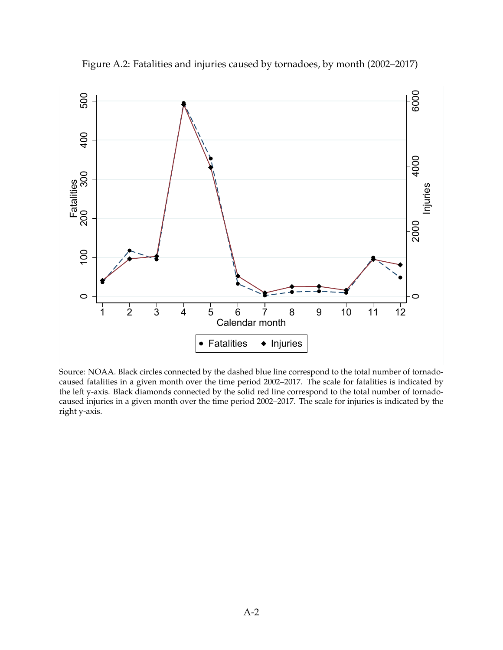

Figure A.2: Fatalities and injuries caused by tornadoes, by month (2002–2017)

Source: NOAA. Black circles connected by the dashed blue line correspond to the total number of tornadocaused fatalities in a given month over the time period 2002–2017. The scale for fatalities is indicated by the left y-axis. Black diamonds connected by the solid red line correspond to the total number of tornadocaused injuries in a given month over the time period 2002–2017. The scale for injuries is indicated by the right y-axis.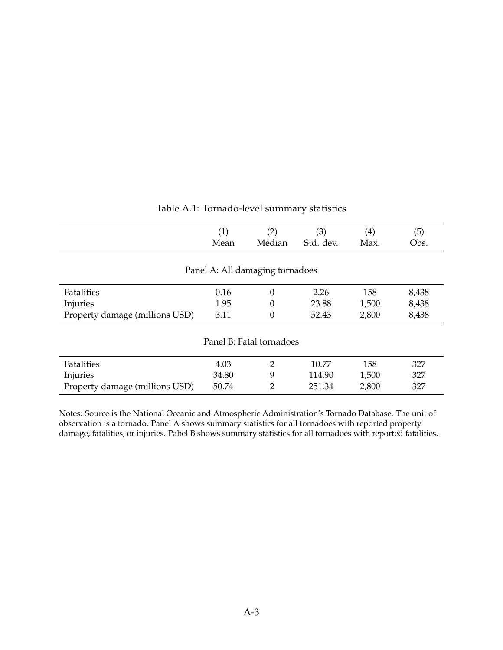|                                | (1)<br>Mean | (2)<br>Median                   | (3)<br>Std. dev. | $\scriptstyle{(4)}$<br>Max. | (5)<br>Obs. |
|--------------------------------|-------------|---------------------------------|------------------|-----------------------------|-------------|
|                                |             | Panel A: All damaging tornadoes |                  |                             |             |
| Fatalities                     | 0.16        | $\theta$                        | 2.26             | 158                         | 8,438       |
| Injuries                       | 1.95        | 0                               | 23.88            | 1,500                       | 8,438       |
| Property damage (millions USD) | 3.11        | 0                               | 52.43            | 2,800                       | 8,438       |
|                                |             | Panel B: Fatal tornadoes        |                  |                             |             |
| Fatalities                     | 4.03        | 2                               | 10.77            | 158                         | 327         |
| Injuries                       | 34.80       | 9                               | 114.90           | 1,500                       | 327         |
| Property damage (millions USD) | 50.74       | 2                               | 251.34           | 2,800                       | 327         |

### Table A.1: Tornado-level summary statistics

Notes: Source is the National Oceanic and Atmospheric Administration's Tornado Database. The unit of observation is a tornado. Panel A shows summary statistics for all tornadoes with reported property damage, fatalities, or injuries. Pabel B shows summary statistics for all tornadoes with reported fatalities.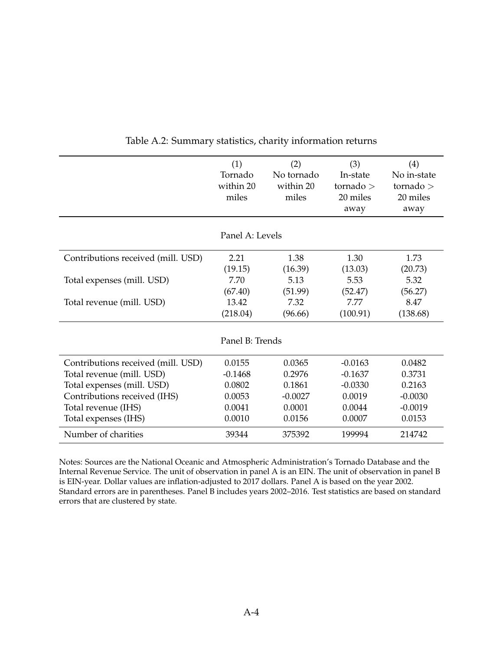|                                    | (1)<br>Tornado<br>within 20<br>miles | (2)<br>No tornado<br>within 20<br>miles | (3)<br>In-state<br>tornado $>$<br>20 miles<br>away | (4)<br>No in-state<br>tornado $>$<br>20 miles<br>away |
|------------------------------------|--------------------------------------|-----------------------------------------|----------------------------------------------------|-------------------------------------------------------|
|                                    |                                      |                                         |                                                    |                                                       |
|                                    | Panel A: Levels                      |                                         |                                                    |                                                       |
| Contributions received (mill. USD) | 2.21                                 | 1.38                                    | 1.30                                               | 1.73                                                  |
|                                    | (19.15)                              | (16.39)                                 | (13.03)                                            | (20.73)                                               |
| Total expenses (mill. USD)         | 7.70                                 | 5.13                                    | 5.53                                               | 5.32                                                  |
|                                    | (67.40)                              | (51.99)                                 | (52.47)                                            | (56.27)                                               |
| Total revenue (mill. USD)          | 13.42                                | 7.32                                    | 7.77                                               | 8.47                                                  |
|                                    | (218.04)                             | (96.66)                                 | (100.91)                                           | (138.68)                                              |
|                                    |                                      |                                         |                                                    |                                                       |
|                                    | Panel B: Trends                      |                                         |                                                    |                                                       |
| Contributions received (mill. USD) | 0.0155                               | 0.0365                                  | $-0.0163$                                          | 0.0482                                                |
| Total revenue (mill. USD)          | $-0.1468$                            | 0.2976                                  | $-0.1637$                                          | 0.3731                                                |
| Total expenses (mill. USD)         | 0.0802                               | 0.1861                                  | $-0.0330$                                          | 0.2163                                                |
| Contributions received (IHS)       | 0.0053                               | $-0.0027$                               | 0.0019                                             | $-0.0030$                                             |
| Total revenue (IHS)                | 0.0041                               | 0.0001                                  | 0.0044                                             | $-0.0019$                                             |
| Total expenses (IHS)               | 0.0010                               | 0.0156                                  | 0.0007                                             | 0.0153                                                |
| Number of charities                | 39344                                | 375392                                  | 199994                                             | 214742                                                |

Table A.2: Summary statistics, charity information returns

Notes: Sources are the National Oceanic and Atmospheric Administration's Tornado Database and the Internal Revenue Service. The unit of observation in panel A is an EIN. The unit of observation in panel B is EIN-year. Dollar values are inflation-adjusted to 2017 dollars. Panel A is based on the year 2002. Standard errors are in parentheses. Panel B includes years 2002–2016. Test statistics are based on standard errors that are clustered by state.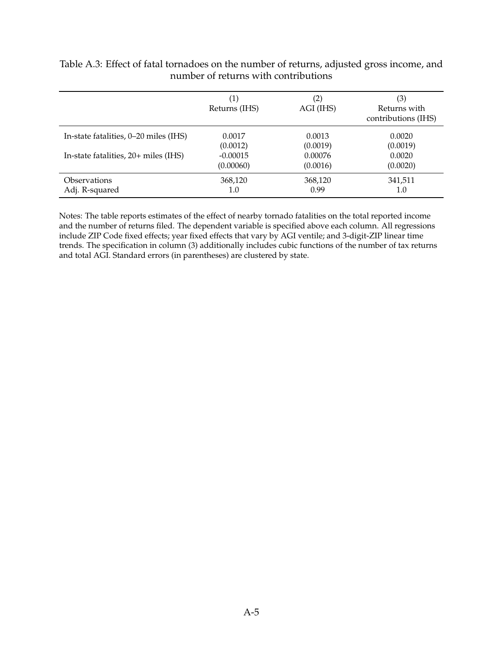|                                       | $\left(1\right)$<br>Returns (IHS) | $\left( 2\right)$<br>AGI (IHS) | (3)<br>Returns with<br>contributions (IHS) |
|---------------------------------------|-----------------------------------|--------------------------------|--------------------------------------------|
| In-state fatalities, 0–20 miles (IHS) | 0.0017                            | 0.0013                         | 0.0020                                     |
|                                       | (0.0012)                          | (0.0019)                       | (0.0019)                                   |
| In-state fatalities, 20+ miles (IHS)  | $-0.00015$                        | 0.00076                        | 0.0020                                     |
|                                       | (0.00060)                         | (0.0016)                       | (0.0020)                                   |
| <i><b>Observations</b></i>            | 368,120                           | 368,120                        | 341,511                                    |
| Adj. R-squared                        | 1.0                               | 0.99                           | 1.0                                        |

Table A.3: Effect of fatal tornadoes on the number of returns, adjusted gross income, and number of returns with contributions

Notes: The table reports estimates of the effect of nearby tornado fatalities on the total reported income and the number of returns filed. The dependent variable is specified above each column. All regressions include ZIP Code fixed effects; year fixed effects that vary by AGI ventile; and 3-digit-ZIP linear time trends. The specification in column (3) additionally includes cubic functions of the number of tax returns and total AGI. Standard errors (in parentheses) are clustered by state.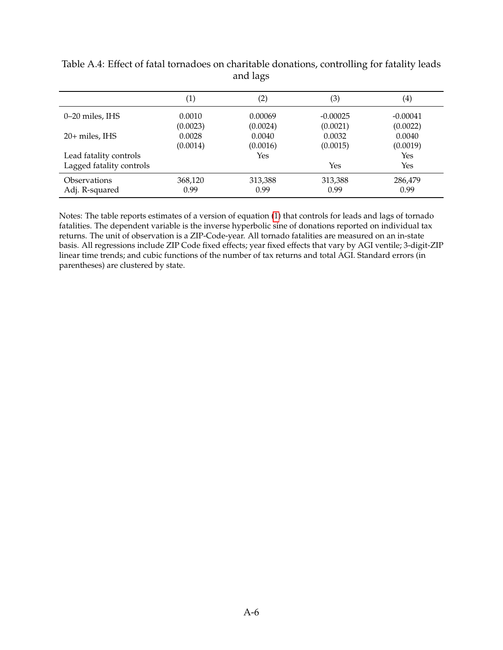|                          | $\left( 1\right)$ | $\left( 2\right)$ | (3)        | $\scriptstyle{(4)}$ |
|--------------------------|-------------------|-------------------|------------|---------------------|
| 0–20 miles, IHS          | 0.0010            | 0.00069           | $-0.00025$ | $-0.00041$          |
|                          | (0.0023)          | (0.0024)          | (0.0021)   | (0.0022)            |
| 20+ miles, IHS           | 0.0028            | 0.0040            | 0.0032     | 0.0040              |
|                          | (0.0014)          | (0.0016)          | (0.0015)   | (0.0019)            |
| Lead fatality controls   |                   | Yes               |            | Yes                 |
| Lagged fatality controls |                   |                   | Yes        | Yes                 |
| <b>Observations</b>      | 368,120           | 313,388           | 313,388    | 286,479             |
| Adj. R-squared           | 0.99              | 0.99              | 0.99       | 0.99                |

#### Table A.4: Effect of fatal tornadoes on charitable donations, controlling for fatality leads and lags

Notes: The table reports estimates of a version of equation [\(1\)](#page--1-0) that controls for leads and lags of tornado fatalities. The dependent variable is the inverse hyperbolic sine of donations reported on individual tax returns. The unit of observation is a ZIP-Code-year. All tornado fatalities are measured on an in-state basis. All regressions include ZIP Code fixed effects; year fixed effects that vary by AGI ventile; 3-digit-ZIP linear time trends; and cubic functions of the number of tax returns and total AGI. Standard errors (in parentheses) are clustered by state.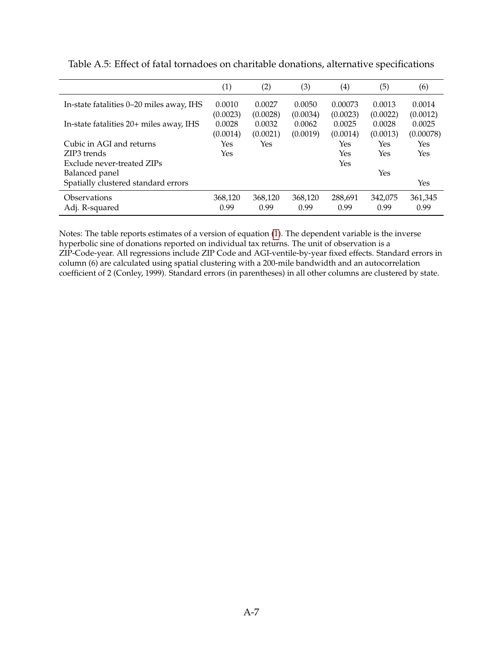|                                          | (1)      | (2)      | (3)      | $\left( 4\right)$ | (5)      | (6)       |
|------------------------------------------|----------|----------|----------|-------------------|----------|-----------|
| In-state fatalities 0-20 miles away, IHS | 0.0010   | 0.0027   | 0.0050   | 0.00073           | 0.0013   | 0.0014    |
|                                          | (0.0023) | (0.0028) | (0.0034) | (0.0023)          | (0.0022) | (0.0012)  |
| In-state fatalities 20+ miles away, IHS  | 0.0028   | 0.0032   | 0.0062   | 0.0025            | 0.0028   | 0.0025    |
|                                          | (0.0014) | (0.0021) | (0.0019) | (0.0014)          | (0.0013) | (0.00078) |
| Cubic in AGI and returns                 | Yes      | Yes      |          | Yes               | Yes      | Yes       |
| ZIP3 trends                              | Yes      |          |          | Yes               | Yes      | Yes       |
| Exclude never-treated ZIPs               |          |          |          | Yes               |          |           |
| Balanced panel                           |          |          |          |                   | Yes      |           |
| Spatially clustered standard errors      |          |          |          |                   |          | Yes       |
| Observations                             | 368,120  | 368,120  | 368,120  | 288,691           | 342,075  | 361,345   |
| Adj. R-squared                           | 0.99     | 0.99     | 0.99     | 0.99              | 0.99     | 0.99      |

Table A.5: Effect of fatal tornadoes on charitable donations, alternative specifications

Notes: The table reports estimates of a version of equation [\(1\)](#page--1-0). The dependent variable is the inverse hyperbolic sine of donations reported on individual tax returns. The unit of observation is a ZIP-Code-year. All regressions include ZIP Code and AGI-ventile-by-year fixed effects. Standard errors in column (6) are calculated using spatial clustering with a 200-mile bandwidth and an autocorrelation coefficient of 2 (Conley, 1999). Standard errors (in parentheses) in all other columns are clustered by state.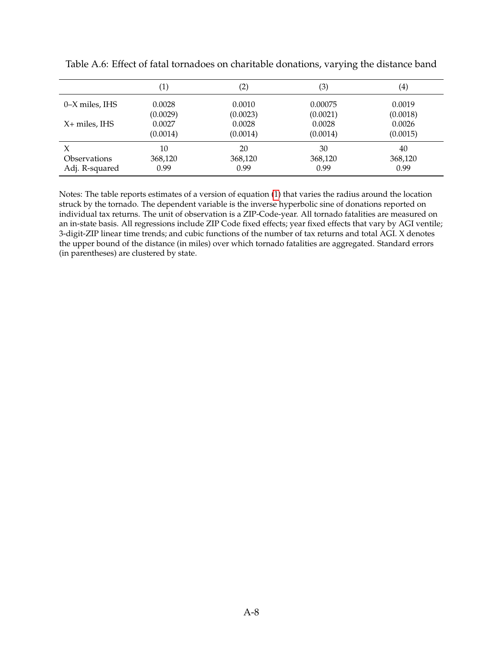|                            | $\left( 1\right)$  | $\left( 2\right)$  | (3)                | $\scriptstyle{(4)}$ |
|----------------------------|--------------------|--------------------|--------------------|---------------------|
| 0–X miles, IHS             | 0.0028             | 0.0010             | 0.00075            | 0.0019              |
| X+ miles, IHS              | (0.0029)<br>0.0027 | (0.0023)<br>0.0028 | (0.0021)<br>0.0028 | (0.0018)<br>0.0026  |
|                            | (0.0014)           | (0.0014)           | (0.0014)           | (0.0015)            |
| X                          | 10                 | 20                 | 30                 | 40                  |
| <i><b>Observations</b></i> | 368,120            | 368,120            | 368,120            | 368,120             |
| Adj. R-squared             | 0.99               | 0.99               | 0.99               | 0.99                |

Table A.6: Effect of fatal tornadoes on charitable donations, varying the distance band

Notes: The table reports estimates of a version of equation [\(1\)](#page--1-0) that varies the radius around the location struck by the tornado. The dependent variable is the inverse hyperbolic sine of donations reported on individual tax returns. The unit of observation is a ZIP-Code-year. All tornado fatalities are measured on an in-state basis. All regressions include ZIP Code fixed effects; year fixed effects that vary by AGI ventile; 3-digit-ZIP linear time trends; and cubic functions of the number of tax returns and total AGI. X denotes the upper bound of the distance (in miles) over which tornado fatalities are aggregated. Standard errors (in parentheses) are clustered by state.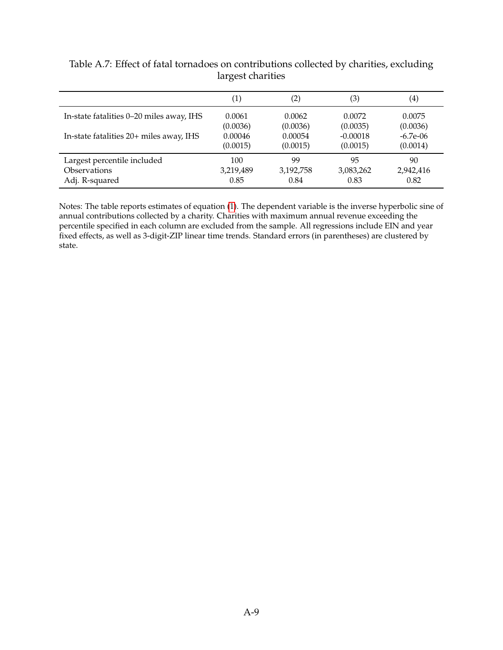|                                          | $\left( 1\right)$ | (2)       | (3)        | $\scriptstyle{(4)}$ |
|------------------------------------------|-------------------|-----------|------------|---------------------|
| In-state fatalities 0-20 miles away, IHS | 0.0061            | 0.0062    | 0.0072     | 0.0075              |
|                                          | (0.0036)          | (0.0036)  | (0.0035)   | (0.0036)            |
| In-state fatalities 20+ miles away, IHS  | 0.00046           | 0.00054   | $-0.00018$ | $-6.7e-06$          |
|                                          | (0.0015)          | (0.0015)  | (0.0015)   | (0.0014)            |
| Largest percentile included              | 100               | 99        | 95         | 90                  |
| Observations                             | 3,219,489         | 3,192,758 | 3,083,262  | 2,942,416           |
| Adj. R-squared                           | 0.85              | 0.84      | 0.83       | 0.82                |

Table A.7: Effect of fatal tornadoes on contributions collected by charities, excluding largest charities

Notes: The table reports estimates of equation [\(1\)](#page--1-0). The dependent variable is the inverse hyperbolic sine of annual contributions collected by a charity. Charities with maximum annual revenue exceeding the percentile specified in each column are excluded from the sample. All regressions include EIN and year fixed effects, as well as 3-digit-ZIP linear time trends. Standard errors (in parentheses) are clustered by state.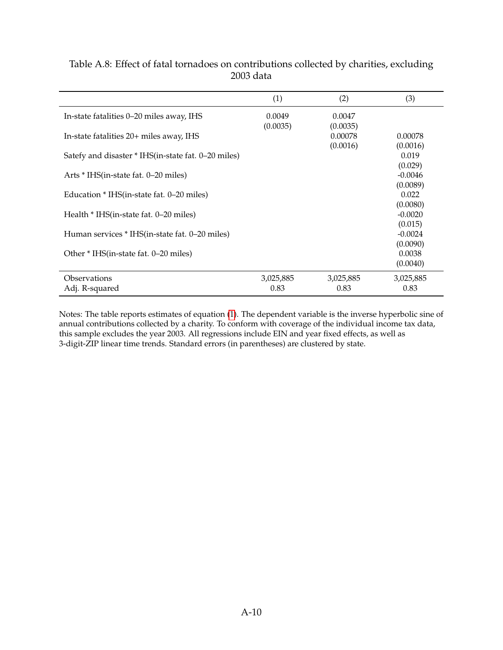|                                                     | (1)                | (2)                | (3)                            |
|-----------------------------------------------------|--------------------|--------------------|--------------------------------|
| In-state fatalities 0–20 miles away, IHS            | 0.0049<br>(0.0035) | 0.0047<br>(0.0035) |                                |
| In-state fatalities 20+ miles away, IHS             |                    | 0.00078            | 0.00078                        |
| Satefy and disaster * IHS(in-state fat. 0–20 miles) |                    | (0.0016)           | (0.0016)<br>0.019<br>(0.029)   |
| Arts * IHS(in-state fat. 0–20 miles)                |                    |                    | $-0.0046$                      |
| Education * IHS(in-state fat. 0–20 miles)           |                    |                    | (0.0089)<br>0.022              |
| Health * IHS(in-state fat. 0–20 miles)              |                    |                    | (0.0080)<br>$-0.0020$          |
| Human services * IHS(in-state fat. 0–20 miles)      |                    |                    | (0.015)<br>$-0.0024$           |
| Other * IHS(in-state fat. 0–20 miles)               |                    |                    | (0.0090)<br>0.0038<br>(0.0040) |
| Observations<br>Adj. R-squared                      | 3,025,885<br>0.83  | 3,025,885<br>0.83  | 3,025,885<br>0.83              |

### Table A.8: Effect of fatal tornadoes on contributions collected by charities, excluding 2003 data

Notes: The table reports estimates of equation [\(1\)](#page--1-0). The dependent variable is the inverse hyperbolic sine of annual contributions collected by a charity. To conform with coverage of the individual income tax data, this sample excludes the year 2003. All regressions include EIN and year fixed effects, as well as 3-digit-ZIP linear time trends. Standard errors (in parentheses) are clustered by state.